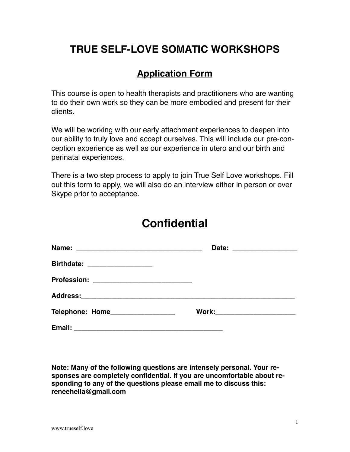## **TRUE SELF-LOVE SOMATIC WORKSHOPS**

## **Application Form**

This course is open to health therapists and practitioners who are wanting to do their own work so they can be more embodied and present for their clients.

We will be working with our early attachment experiences to deepen into our ability to truly love and accept ourselves. This will include our pre-conception experience as well as our experience in utero and our birth and perinatal experiences.

There is a two step process to apply to join True Self Love workshops. Fill out this form to apply, we will also do an interview either in person or over Skype prior to acceptance.

## **Confidential**

|                                  | Date: _________________      |
|----------------------------------|------------------------------|
| Birthdate: __________________    |                              |
|                                  |                              |
|                                  |                              |
| Telephone: Home_________________ | Work: ______________________ |
|                                  |                              |

**Note: Many of the following questions are intensely personal. Your responses are completely confidential. If you are uncomfortable about responding to any of the questions please email me to discuss this: reneehella@gmail.com**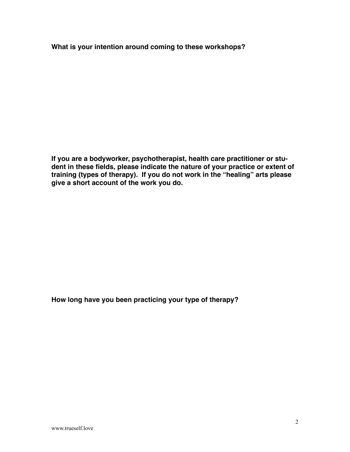**What is your intention around coming to these workshops?**

**If you are a bodyworker, psychotherapist, health care practitioner or student in these fields, please indicate the nature of your practice or extent of training (types of therapy). If you do not work in the "healing" arts please give a short account of the work you do.**

**How long have you been practicing your type of therapy?**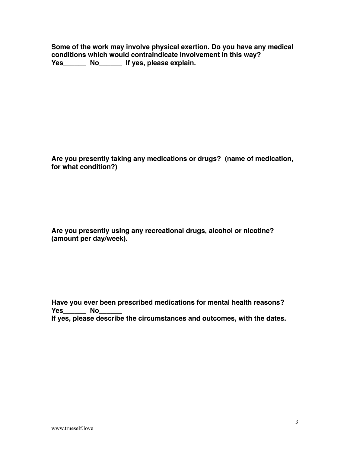**Some of the work may involve physical exertion. Do you have any medical conditions which would contraindicate involvement in this way? Yes\_\_\_\_\_\_ No\_\_\_\_\_\_ If yes, please explain.**

**Are you presently taking any medications or drugs? (name of medication, for what condition?)**

**Are you presently using any recreational drugs, alcohol or nicotine? (amount per day/week).**

**Have you ever been prescribed medications for mental health reasons?**  Yes\_\_\_\_\_\_ No **If yes, please describe the circumstances and outcomes, with the dates.**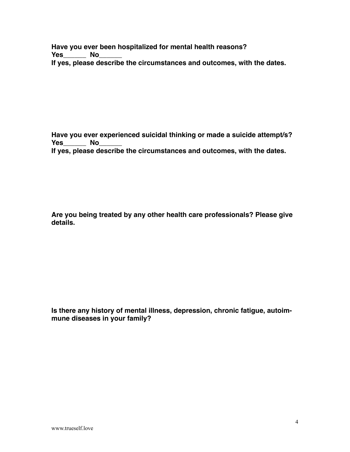**Have you ever been hospitalized for mental health reasons? Yes\_\_\_\_\_\_ No\_\_\_\_\_\_ If yes, please describe the circumstances and outcomes, with the dates.**

**Have you ever experienced suicidal thinking or made a suicide attempt/s? Yes** No **If yes, please describe the circumstances and outcomes, with the dates.**

**Are you being treated by any other health care professionals? Please give details.**

**Is there any history of mental illness, depression, chronic fatigue, autoimmune diseases in your family?**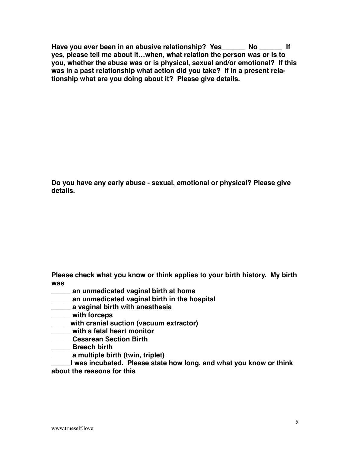**Have you ever been in an abusive relationship? Yes\_\_\_\_\_\_ No \_\_\_\_\_\_ If yes, please tell me about it…when, what relation the person was or is to you, whether the abuse was or is physical, sexual and/or emotional? If this was in a past relationship what action did you take? If in a present relationship what are you doing about it? Please give details.** 

**Do you have any early abuse - sexual, emotional or physical? Please give details.**

**Please check what you know or think applies to your birth history. My birth was**

- **\_\_\_\_\_ an unmedicated vaginal birth at home**
- **\_\_\_\_\_ an unmedicated vaginal birth in the hospital**
- **\_\_\_\_\_ a vaginal birth with anesthesia**
- **\_\_\_\_\_ with forceps**
- **\_\_\_\_\_with cranial suction (vacuum extractor)**
- **\_\_\_\_\_ with a fetal heart monitor**
- **\_\_\_\_\_ Cesarean Section Birth**
- **\_\_\_\_\_ Breech birth**
- **\_\_\_\_\_ a multiple birth (twin, triplet)**

**\_\_\_\_\_I was incubated. Please state how long, and what you know or think about the reasons for this**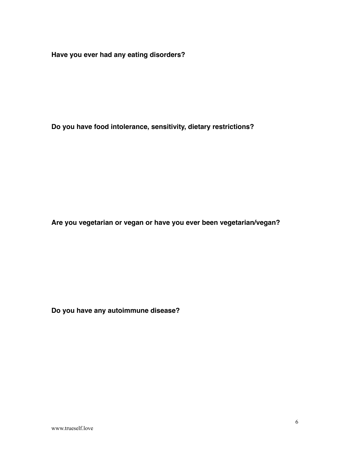**Have you ever had any eating disorders?**

**Do you have food intolerance, sensitivity, dietary restrictions?** 

**Are you vegetarian or vegan or have you ever been vegetarian/vegan?**

**Do you have any autoimmune disease?**